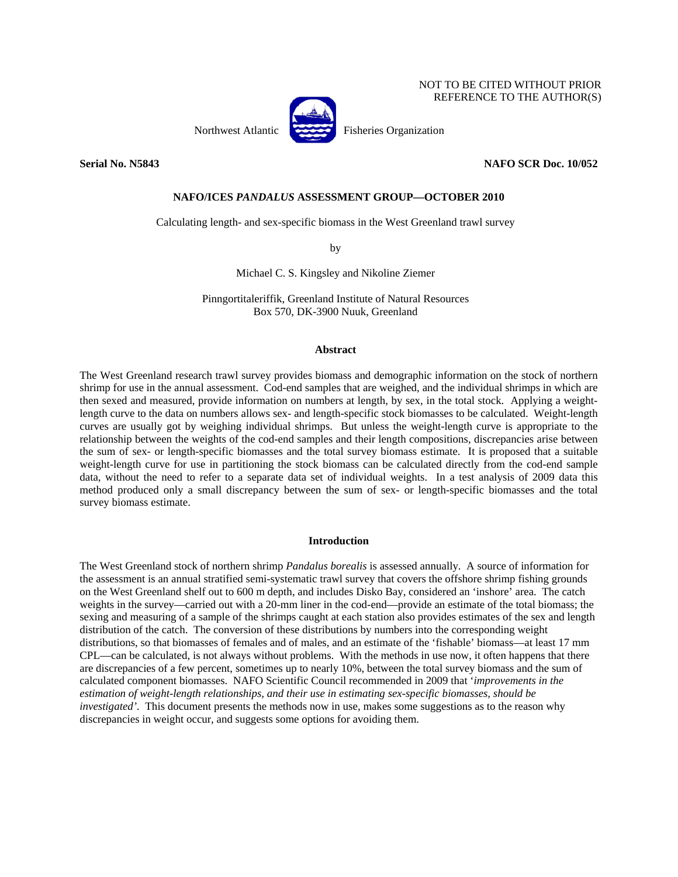# NOT TO BE CITED WITHOUT PRIOR REFERENCE TO THE AUTHOR(S)



Northwest Atlantic Fisheries Organization

**Serial No. N5843 NAFO SCR Doc. 10/052** 

## **NAFO/ICES** *PANDALUS* **ASSESSMENT GROUP—OCTOBER 2010**

Calculating length- and sex-specific biomass in the West Greenland trawl survey

by

Michael C. S. Kingsley and Nikoline Ziemer

Pinngortitaleriffik, Greenland Institute of Natural Resources Box 570, DK-3900 Nuuk, Greenland

#### **Abstract**

The West Greenland research trawl survey provides biomass and demographic information on the stock of northern shrimp for use in the annual assessment. Cod-end samples that are weighed, and the individual shrimps in which are then sexed and measured, provide information on numbers at length, by sex, in the total stock. Applying a weightlength curve to the data on numbers allows sex- and length-specific stock biomasses to be calculated. Weight-length curves are usually got by weighing individual shrimps. But unless the weight-length curve is appropriate to the relationship between the weights of the cod-end samples and their length compositions, discrepancies arise between the sum of sex- or length-specific biomasses and the total survey biomass estimate. It is proposed that a suitable weight-length curve for use in partitioning the stock biomass can be calculated directly from the cod-end sample data, without the need to refer to a separate data set of individual weights. In a test analysis of 2009 data this method produced only a small discrepancy between the sum of sex- or length-specific biomasses and the total survey biomass estimate.

## **Introduction**

The West Greenland stock of northern shrimp *Pandalus borealis* is assessed annually. A source of information for the assessment is an annual stratified semi-systematic trawl survey that covers the offshore shrimp fishing grounds on the West Greenland shelf out to 600 m depth, and includes Disko Bay, considered an 'inshore' area. The catch weights in the survey—carried out with a 20-mm liner in the cod-end—provide an estimate of the total biomass; the sexing and measuring of a sample of the shrimps caught at each station also provides estimates of the sex and length distribution of the catch. The conversion of these distributions by numbers into the corresponding weight distributions, so that biomasses of females and of males, and an estimate of the 'fishable' biomass—at least 17 mm CPL—can be calculated, is not always without problems. With the methods in use now, it often happens that there are discrepancies of a few percent, sometimes up to nearly 10%, between the total survey biomass and the sum of calculated component biomasses. NAFO Scientific Council recommended in 2009 that '*improvements in the estimation of weight-length relationships, and their use in estimating sex-specific biomasses, should be investigated'.* This document presents the methods now in use, makes some suggestions as to the reason why discrepancies in weight occur, and suggests some options for avoiding them.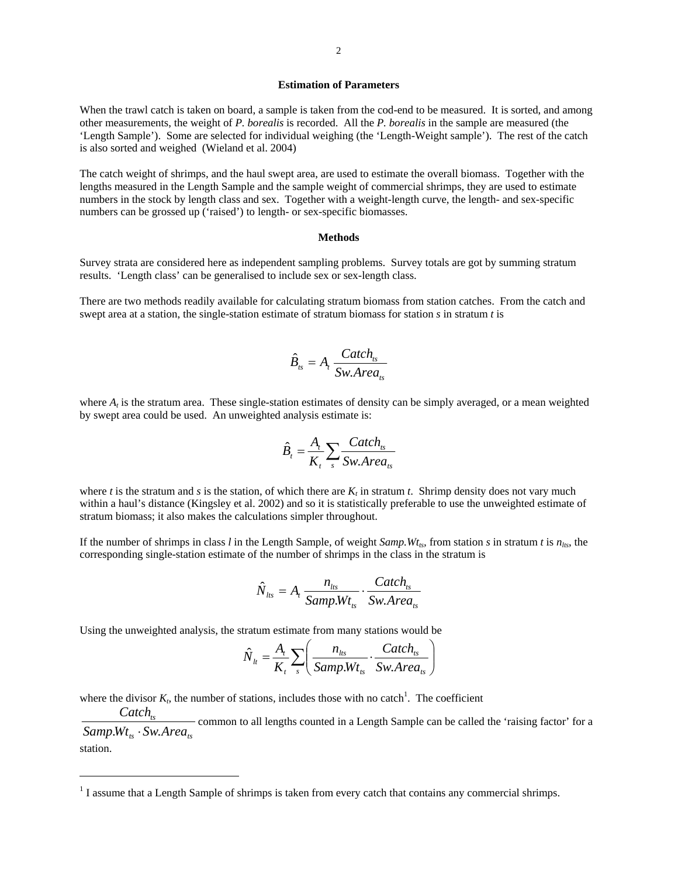#### **Estimation of Parameters**

When the trawl catch is taken on board, a sample is taken from the cod-end to be measured. It is sorted, and among other measurements, the weight of *P. borealis* is recorded. All the *P. borealis* in the sample are measured (the 'Length Sample'). Some are selected for individual weighing (the 'Length-Weight sample'). The rest of the catch is also sorted and weighed (Wieland et al. 2004)

The catch weight of shrimps, and the haul swept area, are used to estimate the overall biomass. Together with the lengths measured in the Length Sample and the sample weight of commercial shrimps, they are used to estimate numbers in the stock by length class and sex. Together with a weight-length curve, the length- and sex-specific numbers can be grossed up ('raised') to length- or sex-specific biomasses.

## **Methods**

Survey strata are considered here as independent sampling problems. Survey totals are got by summing stratum results. 'Length class' can be generalised to include sex or sex-length class.

There are two methods readily available for calculating stratum biomass from station catches. From the catch and swept area at a station, the single-station estimate of stratum biomass for station *s* in stratum *t* is

$$
\hat{B}_{ts} = A_t \frac{Catch_{ts}}{Sw. Area_{ts}}
$$

where  $A_t$  is the stratum area. These single-station estimates of density can be simply averaged, or a mean weighted by swept area could be used. An unweighted analysis estimate is:

$$
\hat{B}_t = \frac{A_t}{K_t} \sum_s \frac{Catch_{ts}}{Sw. Area_{ts}}
$$

where *t* is the stratum and *s* is the station, of which there are  $K_t$  in stratum *t*. Shrimp density does not vary much within a haul's distance (Kingsley et al. 2002) and so it is statistically preferable to use the unweighted estimate of stratum biomass; it also makes the calculations simpler throughout.

If the number of shrimps in class *l* in the Length Sample, of weight *Samp.Wt<sub>ts</sub>*, from station *s* in stratum *t* is  $n_{\text{lts}}$ , the corresponding single-station estimate of the number of shrimps in the class in the stratum is

$$
\hat{N}_{\text{Its}} = A_t \frac{n_{\text{Its}}}{Samp.Wt_{\text{ts}}} \cdot \frac{Catch_{\text{ts}}}{Sw.Area_{\text{ts}}}
$$

Using the unweighted analysis, the stratum estimate from many stations would be

 $\overline{a}$ 

$$
\hat{N}_{lt} = \frac{A_t}{K_t} \sum_{s} \left( \frac{n_{lts}}{Samp.Wt_{ts}} \cdot \frac{Catch_{ts}}{Sw.Area_{ts}} \right)
$$

where the divisor  $K_t$ , the number of stations, includes those with no catch<sup>1</sup>. The coefficient

*ts ts ts SampWt Sw Area Catch*  $\frac{1}{100}$  common to all lengths counted in a Length Sample can be called the 'raising factor' for a  $Wt_{rs} \cdot Sw.Area_{rs}$ station.

 $<sup>1</sup>$  I assume that a Length Sample of shrimps is taken from every catch that contains any commercial shrimps.</sup>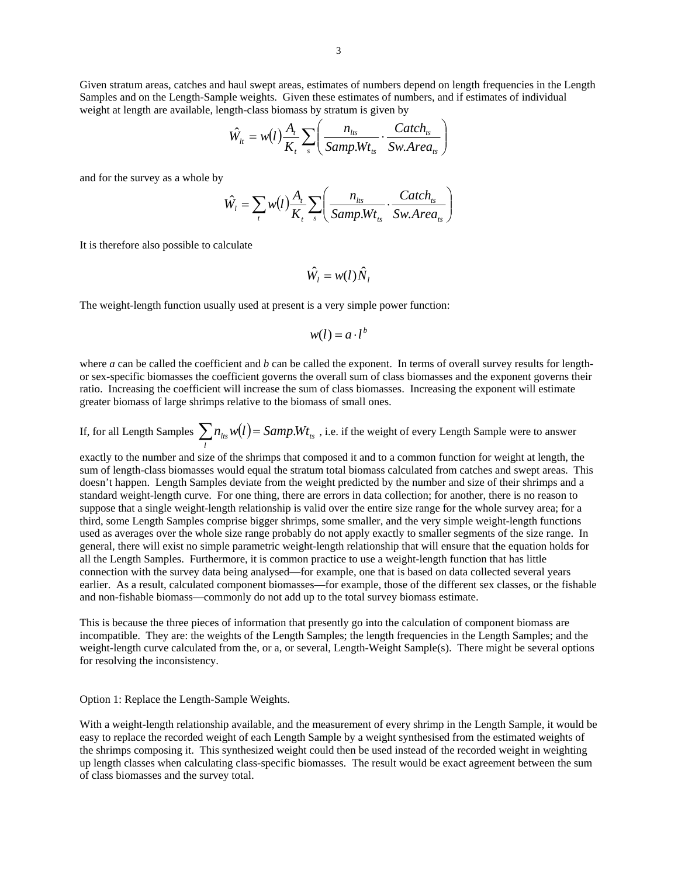Given stratum areas, catches and haul swept areas, estimates of numbers depend on length frequencies in the Length Samples and on the Length-Sample weights. Given these estimates of numbers, and if estimates of individual weight at length are available, length-class biomass by stratum is given by

$$
\hat{W}_{lt} = w(l) \frac{A_t}{K_t} \sum_s \left( \frac{n_{lts}}{Samp.Wt_{ts}} \cdot \frac{Catch_{ts}}{Sw.Area_{ts}} \right)
$$

and for the survey as a whole by

$$
\hat{W}_l = \sum_t w(l) \frac{A_t}{K_t} \sum_s \left( \frac{n_{lts}}{SampleWt_{ts}} \cdot \frac{Catch_{ts}}{Sw.Area_{ts}} \right)
$$

It is therefore also possible to calculate

$$
\hat{W_i} = w(l)\hat{N}_i
$$

The weight-length function usually used at present is a very simple power function:

$$
w(l) = a \cdot l^b
$$

where *a* can be called the coefficient and *b* can be called the exponent. In terms of overall survey results for lengthor sex-specific biomasses the coefficient governs the overall sum of class biomasses and the exponent governs their ratio. Increasing the coefficient will increase the sum of class biomasses. Increasing the exponent will estimate greater biomass of large shrimps relative to the biomass of small ones.

If, for all Length Samples  $\sum_{l} n_{lts} w(l) =$  *Samp.Wt<sub>ts</sub>*, i.e. if the weight of every Length Sample were to answer

exactly to the number and size of the shrimps that composed it and to a common function for weight at length, the sum of length-class biomasses would equal the stratum total biomass calculated from catches and swept areas. This doesn't happen. Length Samples deviate from the weight predicted by the number and size of their shrimps and a standard weight-length curve. For one thing, there are errors in data collection; for another, there is no reason to suppose that a single weight-length relationship is valid over the entire size range for the whole survey area; for a third, some Length Samples comprise bigger shrimps, some smaller, and the very simple weight-length functions used as averages over the whole size range probably do not apply exactly to smaller segments of the size range. In general, there will exist no simple parametric weight-length relationship that will ensure that the equation holds for all the Length Samples. Furthermore, it is common practice to use a weight-length function that has little connection with the survey data being analysed—for example, one that is based on data collected several years earlier. As a result, calculated component biomasses—for example, those of the different sex classes, or the fishable and non-fishable biomass—commonly do not add up to the total survey biomass estimate.

This is because the three pieces of information that presently go into the calculation of component biomass are incompatible. They are: the weights of the Length Samples; the length frequencies in the Length Samples; and the weight-length curve calculated from the, or a, or several, Length-Weight Sample(s). There might be several options for resolving the inconsistency.

Option 1: Replace the Length-Sample Weights.

With a weight-length relationship available, and the measurement of every shrimp in the Length Sample, it would be easy to replace the recorded weight of each Length Sample by a weight synthesised from the estimated weights of the shrimps composing it. This synthesized weight could then be used instead of the recorded weight in weighting up length classes when calculating class-specific biomasses. The result would be exact agreement between the sum of class biomasses and the survey total.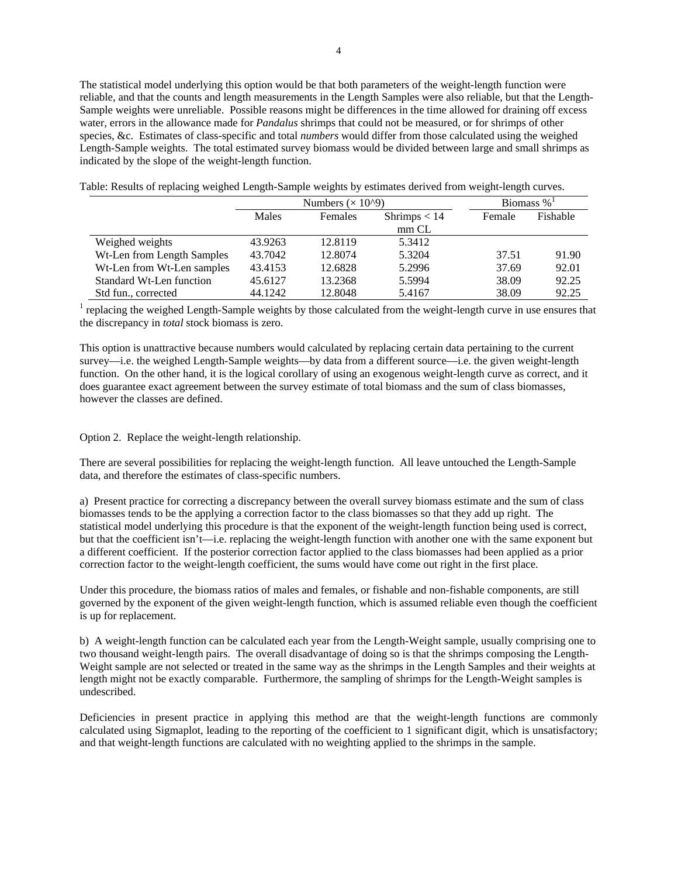The statistical model underlying this option would be that both parameters of the weight-length function were reliable, and that the counts and length measurements in the Length Samples were also reliable, but that the Length-Sample weights were unreliable. Possible reasons might be differences in the time allowed for draining off excess water, errors in the allowance made for *Pandalus* shrimps that could not be measured, or for shrimps of other species, &c. Estimates of class-specific and total *numbers* would differ from those calculated using the weighed Length-Sample weights. The total estimated survey biomass would be divided between large and small shrimps as indicated by the slope of the weight-length function.

|                            |                  | Numbers $(\times 10^{9})$ | Biomass $\%$ <sup>1</sup> |        |          |  |
|----------------------------|------------------|---------------------------|---------------------------|--------|----------|--|
|                            | Males<br>Females |                           | Shrimps $< 14$            | Female | Fishable |  |
|                            |                  |                           | $mm$ CL                   |        |          |  |
| Weighed weights            | 43.9263          | 12.8119                   | 5.3412                    |        |          |  |
| Wt-Len from Length Samples | 43.7042          | 12.8074                   | 5.3204                    | 37.51  | 91.90    |  |
| Wt-Len from Wt-Len samples | 43.4153          | 12.6828                   | 5.2996                    | 37.69  | 92.01    |  |
| Standard Wt-Len function   | 45.6127          | 13.2368                   | 5.5994                    | 38.09  | 92.25    |  |
| Std fun., corrected        | 44.1242          | 12.8048                   | 5.4167                    | 38.09  | 92.25    |  |

Table: Results of replacing weighed Length-Sample weights by estimates derived from weight-length curves.

<sup>1</sup> replacing the weighed Length-Sample weights by those calculated from the weight-length curve in use ensures that the discrepancy in *total* stock biomass is zero.

This option is unattractive because numbers would calculated by replacing certain data pertaining to the current survey—i.e. the weighed Length-Sample weights—by data from a different source—i.e. the given weight-length function. On the other hand, it is the logical corollary of using an exogenous weight-length curve as correct, and it does guarantee exact agreement between the survey estimate of total biomass and the sum of class biomasses, however the classes are defined.

Option 2. Replace the weight-length relationship.

There are several possibilities for replacing the weight-length function. All leave untouched the Length-Sample data, and therefore the estimates of class-specific numbers.

a) Present practice for correcting a discrepancy between the overall survey biomass estimate and the sum of class biomasses tends to be the applying a correction factor to the class biomasses so that they add up right. The statistical model underlying this procedure is that the exponent of the weight-length function being used is correct, but that the coefficient isn't—i.e. replacing the weight-length function with another one with the same exponent but a different coefficient. If the posterior correction factor applied to the class biomasses had been applied as a prior correction factor to the weight-length coefficient, the sums would have come out right in the first place.

Under this procedure, the biomass ratios of males and females, or fishable and non-fishable components, are still governed by the exponent of the given weight-length function, which is assumed reliable even though the coefficient is up for replacement.

b) A weight-length function can be calculated each year from the Length-Weight sample, usually comprising one to two thousand weight-length pairs. The overall disadvantage of doing so is that the shrimps composing the Length-Weight sample are not selected or treated in the same way as the shrimps in the Length Samples and their weights at length might not be exactly comparable. Furthermore, the sampling of shrimps for the Length-Weight samples is undescribed.

Deficiencies in present practice in applying this method are that the weight-length functions are commonly calculated using Sigmaplot, leading to the reporting of the coefficient to 1 significant digit, which is unsatisfactory; and that weight-length functions are calculated with no weighting applied to the shrimps in the sample.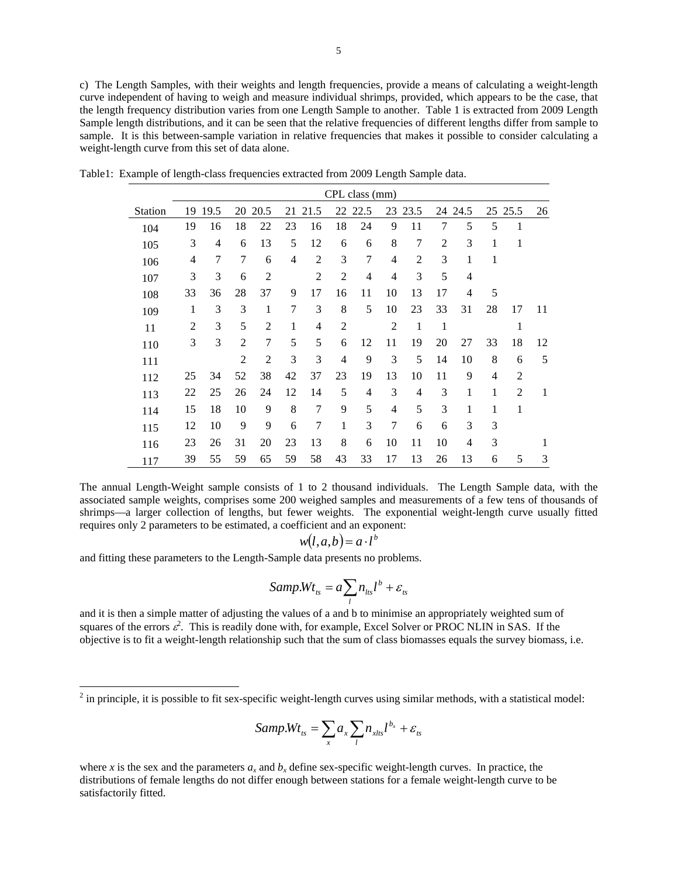c) The Length Samples, with their weights and length frequencies, provide a means of calculating a weight-length curve independent of having to weigh and measure individual shrimps, provided, which appears to be the case, that the length frequency distribution varies from one Length Sample to another. Table 1 is extracted from 2009 Length Sample length distributions, and it can be seen that the relative frequencies of different lengths differ from sample to sample. It is this between-sample variation in relative frequencies that makes it possible to consider calculating a weight-length curve from this set of data alone.

|                | CPL class (mm) |                |                |                |                |                |                |                |                |                |                |      |                |                |    |
|----------------|----------------|----------------|----------------|----------------|----------------|----------------|----------------|----------------|----------------|----------------|----------------|------|----------------|----------------|----|
| <b>Station</b> | 19             | 19.5           | 20             | 20.5           | 21             | 21.5           |                | 22 22.5        | 23             | 23.5           | 24             | 24.5 | 25             | 25.5           | 26 |
| 104            | 19             | 16             | 18             | 22             | 23             | 16             | 18             | 24             | 9              | 11             | 7              | 5    | 5              | 1              |    |
| 105            | 3              | $\overline{4}$ | 6              | 13             | 5              | 12             | 6              | 6              | 8              | 7              | $\overline{2}$ | 3    | 1              | 1              |    |
| 106            | 4              | $\tau$         | $\overline{7}$ | 6              | $\overline{4}$ | $\overline{2}$ | 3              | 7              | 4              | $\overline{2}$ | 3              | 1    | 1              |                |    |
| 107            | 3              | 3              | 6              | $\overline{2}$ |                | 2              | $\overline{2}$ | $\overline{4}$ | 4              | 3              | 5              | 4    |                |                |    |
| 108            | 33             | 36             | 28             | 37             | 9              | 17             | 16             | 11             | 10             | 13             | 17             | 4    | 5              |                |    |
| 109            | 1              | 3              | 3              | 1              | 7              | 3              | 8              | 5              | 10             | 23             | 33             | 31   | 28             | 17             | 11 |
| 11             | $\overline{2}$ | 3              | 5              | $\overline{2}$ | 1              | 4              | $\overline{2}$ |                | $\overline{2}$ | $\mathbf{1}$   | 1              |      |                | 1              |    |
| 110            | 3              | 3              | $\overline{2}$ | 7              | 5              | 5              | 6              | 12             | 11             | 19             | 20             | 27   | 33             | 18             | 12 |
| 111            |                |                | $\overline{2}$ | $\overline{2}$ | 3              | 3              | $\overline{4}$ | 9              | 3              | 5              | 14             | 10   | 8              | 6              | 5  |
| 112            | 25             | 34             | 52             | 38             | 42             | 37             | 23             | 19             | 13             | 10             | 11             | 9    | $\overline{4}$ | $\mathfrak{D}$ |    |
| 113            | 22             | 25             | 26             | 24             | 12             | 14             | 5              | $\overline{4}$ | 3              | 4              | 3              | 1    | 1              | $\overline{2}$ | 1  |
| 114            | 15             | 18             | 10             | 9              | 8              | 7              | 9              | 5              | 4              | 5              | 3              | 1    | 1              | 1              |    |
| 115            | 12             | 10             | 9              | 9              | 6              | 7              | 1              | 3              | 7              | 6              | 6              | 3    | 3              |                |    |
| 116            | 23             | 26             | 31             | 20             | 23             | 13             | 8              | 6              | 10             | 11             | 10             | 4    | 3              |                | 1  |
| 117            | 39             | 55             | 59             | 65             | 59             | 58             | 43             | 33             | 17             | 13             | 26             | 13   | 6              | 5              | 3  |

Table1: Example of length-class frequencies extracted from 2009 Length Sample data.

The annual Length-Weight sample consists of 1 to 2 thousand individuals. The Length Sample data, with the associated sample weights, comprises some 200 weighed samples and measurements of a few tens of thousands of shrimps—a larger collection of lengths, but fewer weights. The exponential weight-length curve usually fitted requires only 2 parameters to be estimated, a coefficient and an exponent:

$$
w(l, a, b) = a \cdot l^b
$$

and fitting these parameters to the Length-Sample data presents no problems.

 $\overline{a}$ 

$$
Samp.Wt_{ts} = a \sum_{l} n_{lts} l^{b} + \varepsilon_{ts}
$$

and it is then a simple matter of adjusting the values of a and b to minimise an appropriately weighted sum of squares of the errors  $\varepsilon^2$ . This is readily done with, for example, Excel Solver or PROC NLIN in SAS. If the objective is to fit a weight-length relationship such that the sum of class biomasses equals the survey biomass, i.e.

$$
Samp.Wt_{ts} = \sum_{x} a_x \sum_{l} n_{xhs} l^{b_x} + \varepsilon_{ts}
$$

where *x* is the sex and the parameters  $a_x$  and  $b_x$  define sex-specific weight-length curves. In practice, the distributions of female lengths do not differ enough between stations for a female weight-length curve to be satisfactorily fitted.

 $2$  in principle, it is possible to fit sex-specific weight-length curves using similar methods, with a statistical model: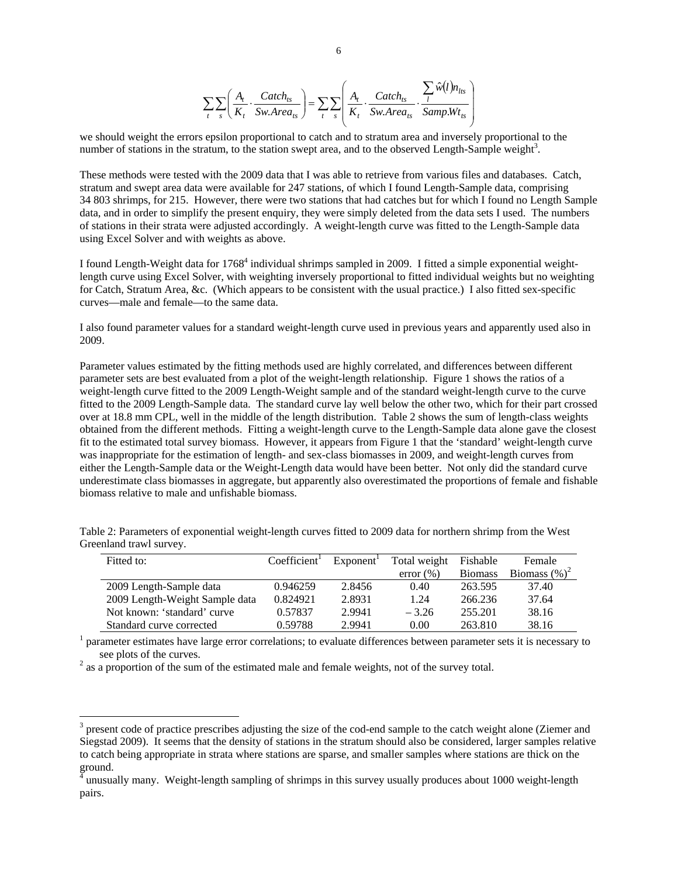$$
\sum_{t} \sum_{s} \left( \frac{A_t}{K_t} \cdot \frac{Catch_{ts}}{Sw. Area_{ts}} \right) = \sum_{t} \sum_{s} \left( \frac{A_t}{K_t} \cdot \frac{Catch_{ts}}{Sw. Area_{ts}} \cdot \frac{\sum_{l} \hat{w}(l) n_{lts}}{Samp.Wt_{ts}} \right)
$$

we should weight the errors epsilon proportional to catch and to stratum area and inversely proportional to the number of stations in the stratum, to the station swept area, and to the observed Length-Sample weight<sup>3</sup>.

These methods were tested with the 2009 data that I was able to retrieve from various files and databases. Catch, stratum and swept area data were available for 247 stations, of which I found Length-Sample data, comprising 34 803 shrimps, for 215. However, there were two stations that had catches but for which I found no Length Sample data, and in order to simplify the present enquiry, they were simply deleted from the data sets I used. The numbers of stations in their strata were adjusted accordingly. A weight-length curve was fitted to the Length-Sample data using Excel Solver and with weights as above.

I found Length-Weight data for 1768<sup>4</sup> individual shrimps sampled in 2009. I fitted a simple exponential weightlength curve using Excel Solver, with weighting inversely proportional to fitted individual weights but no weighting for Catch, Stratum Area, &c. (Which appears to be consistent with the usual practice.) I also fitted sex-specific curves—male and female—to the same data.

I also found parameter values for a standard weight-length curve used in previous years and apparently used also in 2009.

Parameter values estimated by the fitting methods used are highly correlated, and differences between different parameter sets are best evaluated from a plot of the weight-length relationship. Figure 1 shows the ratios of a weight-length curve fitted to the 2009 Length-Weight sample and of the standard weight-length curve to the curve fitted to the 2009 Length-Sample data. The standard curve lay well below the other two, which for their part crossed over at 18.8 mm CPL, well in the middle of the length distribution. Table 2 shows the sum of length-class weights obtained from the different methods. Fitting a weight-length curve to the Length-Sample data alone gave the closest fit to the estimated total survey biomass. However, it appears from Figure 1 that the 'standard' weight-length curve was inappropriate for the estimation of length- and sex-class biomasses in 2009, and weight-length curves from either the Length-Sample data or the Weight-Length data would have been better. Not only did the standard curve underestimate class biomasses in aggregate, but apparently also overestimated the proportions of female and fishable biomass relative to male and unfishable biomass.

| Fitted to:                     | Coefficient <sup>1</sup> | Exponent' | Total weight  | Fishable       | Female           |
|--------------------------------|--------------------------|-----------|---------------|----------------|------------------|
|                                |                          |           | $error (\% )$ | <b>Biomass</b> | Biomass $(\%)^2$ |
| 2009 Length-Sample data        | 0.946259                 | 2.8456    | 0.40          | 263.595        | 37.40            |
| 2009 Length-Weight Sample data | 0.824921                 | 2.8931    | 1.24          | 266.236        | 37.64            |
| Not known: 'standard' curve    | 0.57837                  | 2.9941    | $-3.26$       | 255.201        | 38.16            |
| Standard curve corrected       | 0.59788                  | 2.9941    | 0.00          | 263.810        | 38.16            |

Table 2: Parameters of exponential weight-length curves fitted to 2009 data for northern shrimp from the West Greenland trawl survey.

<sup>1</sup> parameter estimates have large error correlations; to evaluate differences between parameter sets it is necessary to see plots of the curves.

 $2$  as a proportion of the sum of the estimated male and female weights, not of the survey total.

 $\overline{a}$ 

 $3$  present code of practice prescribes adjusting the size of the cod-end sample to the catch weight alone (Ziemer and Siegstad 2009). It seems that the density of stations in the stratum should also be considered, larger samples relative to catch being appropriate in strata where stations are sparse, and smaller samples where stations are thick on the ground.

 $^4$  unusually many. Weight-length sampling of shrimps in this survey usually produces about 1000 weight-length pairs.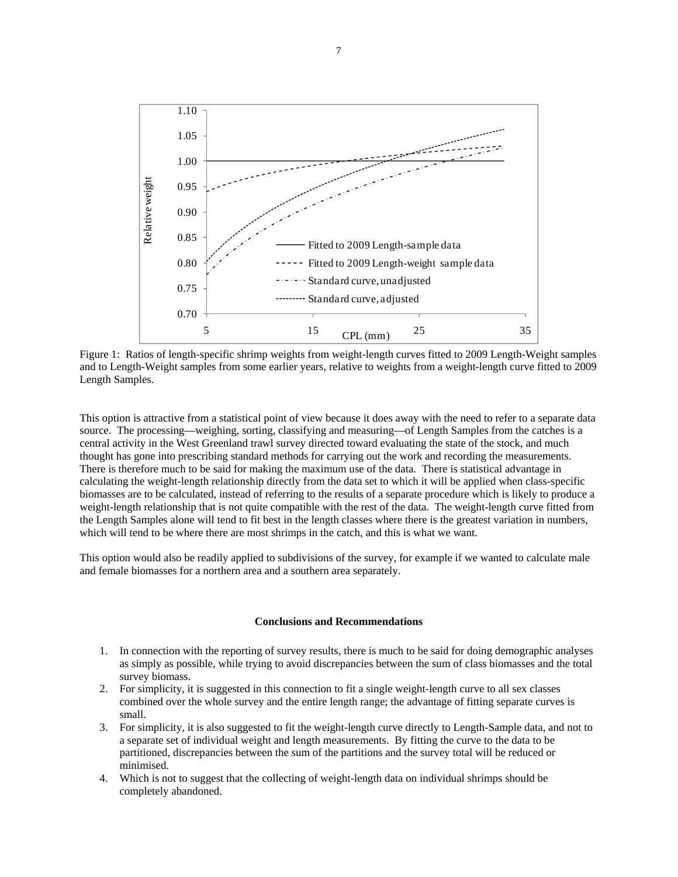

Figure 1: Ratios of length-specific shrimp weights from weight-length curves fitted to 2009 Length-Weight samples and to Length-Weight samples from some earlier years, relative to weights from a weight-length curve fitted to 2009 Length Samples.

This option is attractive from a statistical point of view because it does away with the need to refer to a separate data source. The processing—weighing, sorting, classifying and measuring—of Length Samples from the catches is a central activity in the West Greenland trawl survey directed toward evaluating the state of the stock, and much thought has gone into prescribing standard methods for carrying out the work and recording the measurements. There is therefore much to be said for making the maximum use of the data. There is statistical advantage in calculating the weight-length relationship directly from the data set to which it will be applied when class-specific biomasses are to be calculated, instead of referring to the results of a separate procedure which is likely to produce a weight-length relationship that is not quite compatible with the rest of the data. The weight-length curve fitted from the Length Samples alone will tend to fit best in the length classes where there is the greatest variation in numbers, which will tend to be where there are most shrimps in the catch, and this is what we want.

This option would also be readily applied to subdivisions of the survey, for example if we wanted to calculate male and female biomasses for a northern area and a southern area separately.

### **Conclusions and Recommendations**

- 1. In connection with the reporting of survey results, there is much to be said for doing demographic analyses as simply as possible, while trying to avoid discrepancies between the sum of class biomasses and the total survey biomass.
- 2. For simplicity, it is suggested in this connection to fit a single weight-length curve to all sex classes combined over the whole survey and the entire length range; the advantage of fitting separate curves is small.
- 3. For simplicity, it is also suggested to fit the weight-length curve directly to Length-Sample data, and not to a separate set of individual weight and length measurements. By fitting the curve to the data to be partitioned, discrepancies between the sum of the partitions and the survey total will be reduced or minimised.
- 4. Which is not to suggest that the collecting of weight-length data on individual shrimps should be completely abandoned.